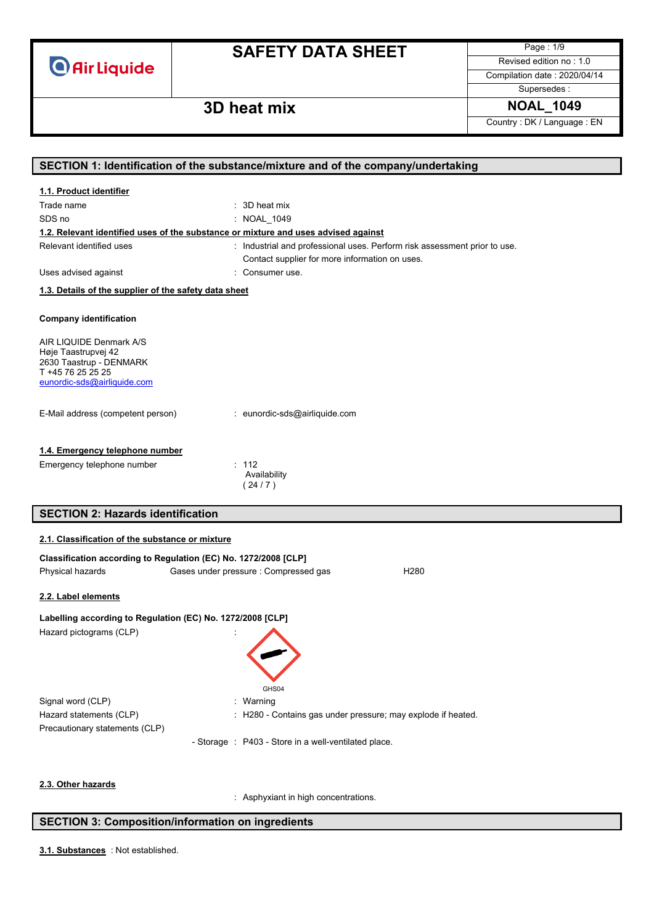

Page : 1/9 Revised edition no : 1.0

Compilation date : 2020/04/14

Supersedes :

## **3D heat mix NOAL\_1049**

Country : DK / Language : EN

|                                                                                     | SECTION 1: Identification of the substance/mixture and of the company/undertaking  |
|-------------------------------------------------------------------------------------|------------------------------------------------------------------------------------|
| 1.1. Product identifier                                                             |                                                                                    |
| Trade name                                                                          | : 3D heat mix                                                                      |
| SDS no                                                                              | : NOAL_1049                                                                        |
|                                                                                     | 1.2. Relevant identified uses of the substance or mixture and uses advised against |
| Relevant identified uses                                                            | : Industrial and professional uses. Perform risk assessment prior to use.          |
|                                                                                     | Contact supplier for more information on uses.                                     |
| Uses advised against                                                                | : Consumer use.                                                                    |
| 1.3. Details of the supplier of the safety data sheet                               |                                                                                    |
| <b>Company identification</b>                                                       |                                                                                    |
| AIR LIQUIDE Denmark A/S<br>Høje Taastrupvej 42                                      |                                                                                    |
| 2630 Taastrup - DENMARK                                                             |                                                                                    |
| T +45 76 25 25 25<br>eunordic-sds@airliquide.com                                    |                                                                                    |
|                                                                                     |                                                                                    |
| E-Mail address (competent person)                                                   | : eunordic-sds@airliquide.com                                                      |
| 1.4. Emergency telephone number                                                     |                                                                                    |
| Emergency telephone number                                                          | : 112                                                                              |
|                                                                                     | Availability<br>(24/7)                                                             |
|                                                                                     |                                                                                    |
|                                                                                     |                                                                                    |
| <b>SECTION 2: Hazards identification</b>                                            |                                                                                    |
| 2.1. Classification of the substance or mixture                                     |                                                                                    |
|                                                                                     |                                                                                    |
| Classification according to Regulation (EC) No. 1272/2008 [CLP]<br>Physical hazards | Gases under pressure : Compressed gas<br>H <sub>280</sub>                          |
|                                                                                     |                                                                                    |
| 2.2. Label elements                                                                 |                                                                                    |
| Labelling according to Regulation (EC) No. 1272/2008 [CLP]                          |                                                                                    |
| Hazard pictograms (CLP)                                                             |                                                                                    |
|                                                                                     |                                                                                    |
|                                                                                     |                                                                                    |
|                                                                                     |                                                                                    |
|                                                                                     | GHS04                                                                              |
| Signal word (CLP)                                                                   | Warning                                                                            |
| Hazard statements (CLP)                                                             | H280 - Contains gas under pressure; may explode if heated.                         |
| Precautionary statements (CLP)                                                      |                                                                                    |
|                                                                                     | - Storage : P403 - Store in a well-ventilated place.                               |
|                                                                                     |                                                                                    |
|                                                                                     |                                                                                    |
| 2.3. Other hazards                                                                  | : Asphyxiant in high concentrations.                                               |

### **SECTION 3: Composition/information on ingredients**

: Not established. **3.1. Substances**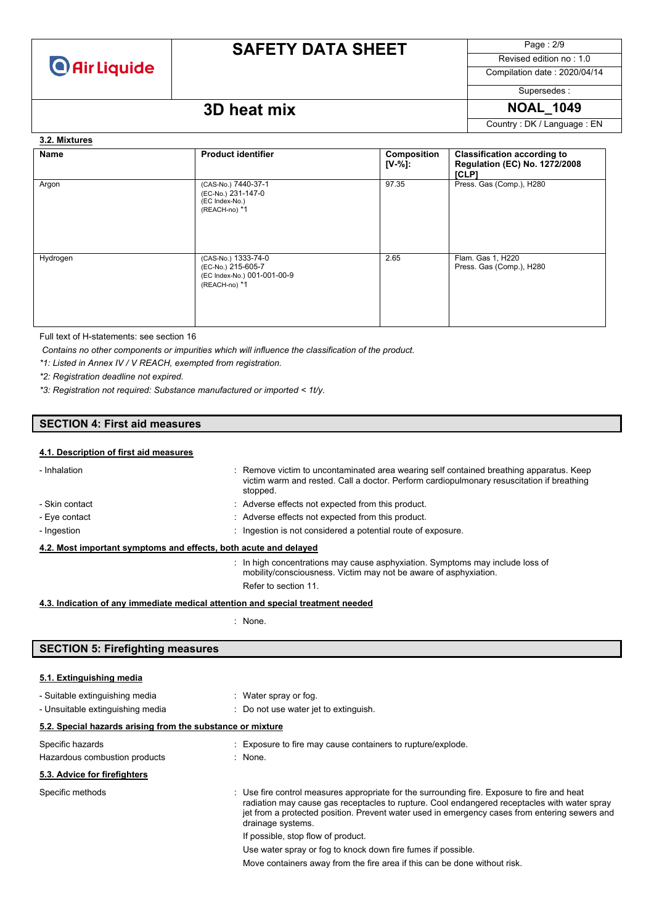

Page : 2/9

Revised edition no : 1.0 Compilation date : 2020/04/14

Supersedes :

### **3D heat mix NOAL\_1049**

Country : DK / Language : EN

#### **3.2. Mixtures**

| Name     | <b>Product identifier</b>                                                                 | Composition<br>$[V-%]$ : | <b>Classification according to</b><br>Regulation (EC) No. 1272/2008<br>[CLP] |
|----------|-------------------------------------------------------------------------------------------|--------------------------|------------------------------------------------------------------------------|
| Argon    | (CAS-No.) 7440-37-1<br>(EC-No.) 231-147-0<br>(EC Index-No.)<br>(REACH-no) *1              | 97.35                    | Press. Gas (Comp.), H280                                                     |
| Hydrogen | (CAS-No.) 1333-74-0<br>(EC-No.) 215-605-7<br>(EC Index-No.) 001-001-00-9<br>(REACH-no) *1 | 2.65                     | Flam. Gas 1, H220<br>Press. Gas (Comp.), H280                                |

Full text of H-statements: see section 16

*Contains no other components or impurities which will influence the classification of the product.*

*\*1: Listed in Annex IV / V REACH, exempted from registration.*

*\*2: Registration deadline not expired.*

*\*3: Registration not required: Substance manufactured or imported < 1t/y.*

### **SECTION 4: First aid measures**

### **4.1. Description of first aid measures**

| - Inhalation                                                                    | : Remove victim to uncontaminated area wearing self contained breathing apparatus. Keep<br>victim warm and rested. Call a doctor. Perform cardiopulmonary resuscitation if breathing<br>stopped. |
|---------------------------------------------------------------------------------|--------------------------------------------------------------------------------------------------------------------------------------------------------------------------------------------------|
| - Skin contact                                                                  | : Adverse effects not expected from this product.                                                                                                                                                |
| - Eve contact                                                                   | : Adverse effects not expected from this product.                                                                                                                                                |
| - Ingestion                                                                     | : Ingestion is not considered a potential route of exposure.                                                                                                                                     |
| 4.2. Most important symptoms and effects, both acute and delayed                |                                                                                                                                                                                                  |
|                                                                                 | : In high concentrations may cause asphyxiation. Symptoms may include loss of<br>mobility/consciousness. Victim may not be aware of asphyxiation.                                                |
|                                                                                 | Refer to section 11.                                                                                                                                                                             |
| 4.3. Indication of any immediate medical attention and special treatment needed |                                                                                                                                                                                                  |

: None.

### **SECTION 5: Firefighting measures**

| 5.1. Extinguishing media                                                          |                                                                                                                                                                                                                                                                                                                                                                                                                                                                                                      |
|-----------------------------------------------------------------------------------|------------------------------------------------------------------------------------------------------------------------------------------------------------------------------------------------------------------------------------------------------------------------------------------------------------------------------------------------------------------------------------------------------------------------------------------------------------------------------------------------------|
| - Suitable extinguishing media<br>- Unsuitable extinguishing media                | : Water spray or fog.<br>: Do not use water jet to extinguish.                                                                                                                                                                                                                                                                                                                                                                                                                                       |
| 5.2. Special hazards arising from the substance or mixture                        |                                                                                                                                                                                                                                                                                                                                                                                                                                                                                                      |
| Specific hazards<br>Hazardous combustion products<br>5.3. Advice for firefighters | : Exposure to fire may cause containers to rupture/explode.<br>: None.                                                                                                                                                                                                                                                                                                                                                                                                                               |
| Specific methods                                                                  | : Use fire control measures appropriate for the surrounding fire. Exposure to fire and heat<br>radiation may cause gas receptacles to rupture. Cool endangered receptacles with water spray<br>jet from a protected position. Prevent water used in emergency cases from entering sewers and<br>drainage systems.<br>If possible, stop flow of product.<br>Use water spray or fog to knock down fire fumes if possible.<br>Move containers away from the fire area if this can be done without risk. |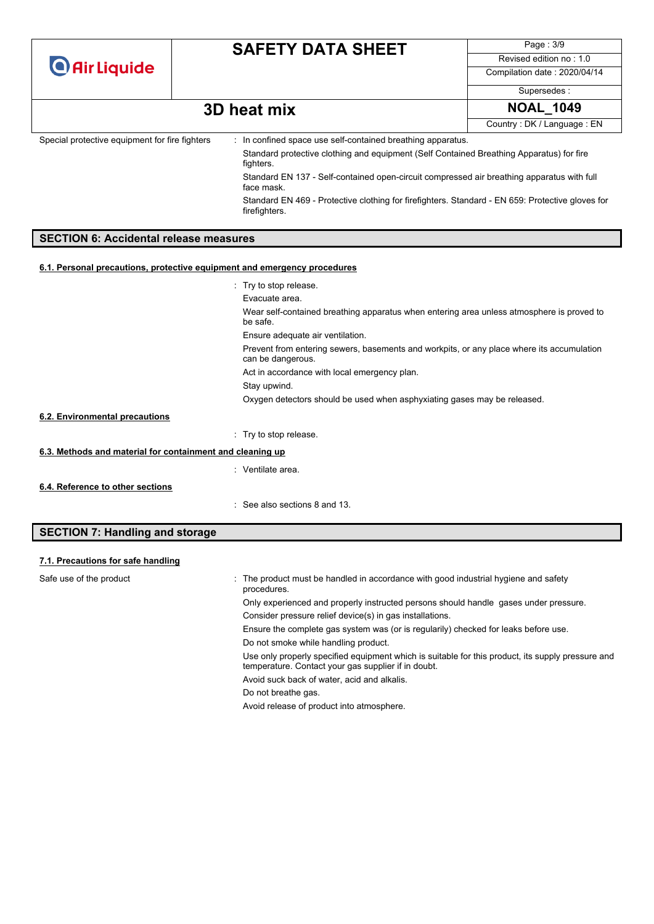|                                                |  | <b>SAFETY DATA SHEET</b>                                                                                          | Page: 3/9                    |
|------------------------------------------------|--|-------------------------------------------------------------------------------------------------------------------|------------------------------|
| <b>O</b> Air Liquide                           |  |                                                                                                                   | Revised edition no: 1.0      |
|                                                |  |                                                                                                                   | Compilation date: 2020/04/14 |
|                                                |  |                                                                                                                   | Supersedes:                  |
|                                                |  | 3D heat mix                                                                                                       | <b>NOAL 1049</b>             |
|                                                |  |                                                                                                                   | Country: DK / Language: EN   |
| Special protective equipment for fire fighters |  | : In confined space use self-contained breathing apparatus.                                                       |                              |
|                                                |  | Standard protective clothing and equipment (Self Contained Breathing Apparatus) for fire<br>fighters.             |                              |
|                                                |  | Standard EN 137 - Self-contained open-circuit compressed air breathing apparatus with full<br>face mask.          |                              |
|                                                |  | Standard EN 469 - Protective clothing for firefighters. Standard - EN 659: Protective gloves for<br>firefighters. |                              |
| <b>SECTION 6: Accidental release measures</b>  |  |                                                                                                                   |                              |

### **6.1. Personal precautions, protective equipment and emergency procedures**

|                                                           | : Try to stop release.                                                                                         |
|-----------------------------------------------------------|----------------------------------------------------------------------------------------------------------------|
|                                                           | Evacuate area.                                                                                                 |
|                                                           | Wear self-contained breathing apparatus when entering area unless atmosphere is proved to<br>be safe.          |
|                                                           | Ensure adequate air ventilation.                                                                               |
|                                                           | Prevent from entering sewers, basements and workpits, or any place where its accumulation<br>can be dangerous. |
|                                                           | Act in accordance with local emergency plan.                                                                   |
|                                                           | Stay upwind.                                                                                                   |
|                                                           | Oxygen detectors should be used when asphyxiating gases may be released.                                       |
| 6.2. Environmental precautions                            |                                                                                                                |
|                                                           | : Try to stop release.                                                                                         |
| 6.3. Methods and material for containment and cleaning up |                                                                                                                |
|                                                           | : Ventilate area.                                                                                              |
| 6.4. Reference to other sections                          |                                                                                                                |
|                                                           | $\therefore$ See also sections 8 and 13.                                                                       |

### **SECTION 7: Handling and storage**

| 7.1. Precautions for safe handling |                                                                                                                                                          |
|------------------------------------|----------------------------------------------------------------------------------------------------------------------------------------------------------|
| Safe use of the product            | : The product must be handled in accordance with good industrial hygiene and safety<br>procedures.                                                       |
|                                    | Only experienced and properly instructed persons should handle gases under pressure.                                                                     |
|                                    | Consider pressure relief device(s) in gas installations.                                                                                                 |
|                                    | Ensure the complete gas system was (or is regularily) checked for leaks before use.                                                                      |
|                                    | Do not smoke while handling product.                                                                                                                     |
|                                    | Use only properly specified equipment which is suitable for this product, its supply pressure and<br>temperature. Contact your gas supplier if in doubt. |
|                                    | Avoid suck back of water, acid and alkalis.                                                                                                              |
|                                    | Do not breathe gas.                                                                                                                                      |
|                                    |                                                                                                                                                          |

Avoid release of product into atmosphere.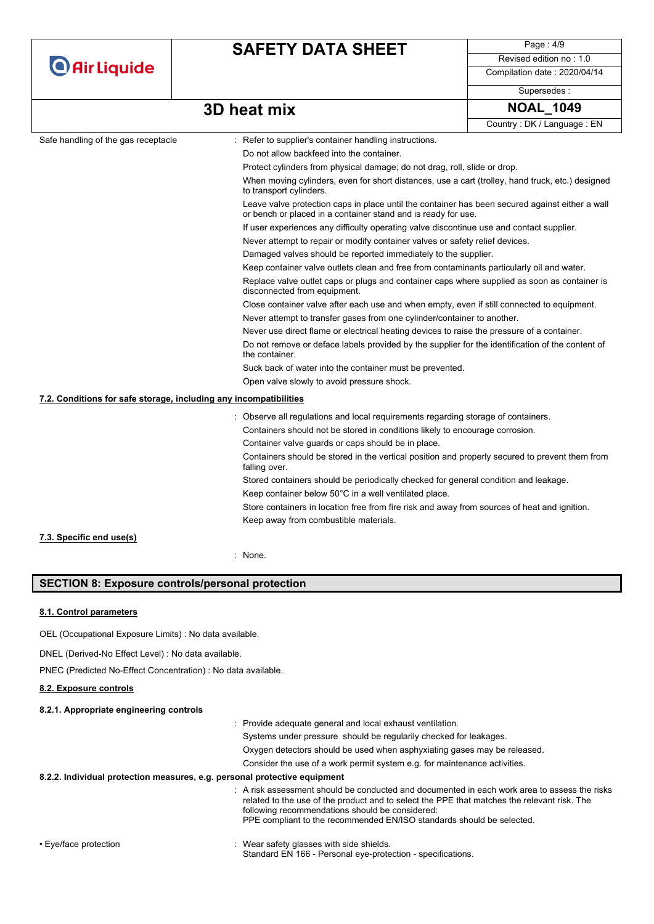|                                                                   | <b>SAFETY DATA SHEET</b>                                                                                                     | Page: 4/9                                                                                       |  |  |
|-------------------------------------------------------------------|------------------------------------------------------------------------------------------------------------------------------|-------------------------------------------------------------------------------------------------|--|--|
| <b>O</b> Air Liquide                                              |                                                                                                                              | Revised edition no: 1.0                                                                         |  |  |
|                                                                   |                                                                                                                              | Compilation date: 2020/04/14                                                                    |  |  |
|                                                                   |                                                                                                                              | Supersedes:                                                                                     |  |  |
|                                                                   | 3D heat mix                                                                                                                  | <b>NOAL 1049</b>                                                                                |  |  |
|                                                                   |                                                                                                                              | Country: DK / Language: EN                                                                      |  |  |
| Safe handling of the gas receptacle                               | : Refer to supplier's container handling instructions.                                                                       |                                                                                                 |  |  |
|                                                                   | Do not allow backfeed into the container.                                                                                    |                                                                                                 |  |  |
|                                                                   | Protect cylinders from physical damage; do not drag, roll, slide or drop.                                                    |                                                                                                 |  |  |
|                                                                   | When moving cylinders, even for short distances, use a cart (trolley, hand truck, etc.) designed<br>to transport cylinders.  |                                                                                                 |  |  |
|                                                                   | or bench or placed in a container stand and is ready for use.                                                                | Leave valve protection caps in place until the container has been secured against either a wall |  |  |
|                                                                   |                                                                                                                              | If user experiences any difficulty operating valve discontinue use and contact supplier.        |  |  |
|                                                                   |                                                                                                                              | Never attempt to repair or modify container valves or safety relief devices.                    |  |  |
|                                                                   | Damaged valves should be reported immediately to the supplier.                                                               |                                                                                                 |  |  |
|                                                                   | Keep container valve outlets clean and free from contaminants particularly oil and water.                                    |                                                                                                 |  |  |
|                                                                   | Replace valve outlet caps or plugs and container caps where supplied as soon as container is<br>disconnected from equipment. |                                                                                                 |  |  |
|                                                                   | Close container valve after each use and when empty, even if still connected to equipment.                                   |                                                                                                 |  |  |
|                                                                   | Never attempt to transfer gases from one cylinder/container to another.                                                      |                                                                                                 |  |  |
|                                                                   | Never use direct flame or electrical heating devices to raise the pressure of a container.                                   |                                                                                                 |  |  |
|                                                                   | Do not remove or deface labels provided by the supplier for the identification of the content of<br>the container.           |                                                                                                 |  |  |
|                                                                   | Suck back of water into the container must be prevented.                                                                     |                                                                                                 |  |  |
|                                                                   | Open valve slowly to avoid pressure shock.                                                                                   |                                                                                                 |  |  |
| 7.2. Conditions for safe storage, including any incompatibilities |                                                                                                                              |                                                                                                 |  |  |
|                                                                   | : Observe all regulations and local requirements regarding storage of containers.                                            |                                                                                                 |  |  |
|                                                                   | Containers should not be stored in conditions likely to encourage corrosion.                                                 |                                                                                                 |  |  |
|                                                                   | Container valve guards or caps should be in place.                                                                           |                                                                                                 |  |  |
|                                                                   | Containers should be stored in the vertical position and properly secured to prevent them from<br>falling over.              |                                                                                                 |  |  |
|                                                                   | Stored containers should be periodically checked for general condition and leakage.                                          |                                                                                                 |  |  |
|                                                                   | Keep container below 50°C in a well ventilated place.                                                                        |                                                                                                 |  |  |
|                                                                   | Store containers in location free from fire risk and away from sources of heat and ignition.                                 |                                                                                                 |  |  |
|                                                                   |                                                                                                                              |                                                                                                 |  |  |

: None.

### **SECTION 8: Exposure controls/personal protection**

#### **8.1. Control parameters**

OEL (Occupational Exposure Limits) : No data available.

DNEL (Derived-No Effect Level) : No data available.

PNEC (Predicted No-Effect Concentration) : No data available.

#### **8.2. Exposure controls**

#### **8.2.1. Appropriate engineering controls**

: Provide adequate general and local exhaust ventilation.

Systems under pressure should be regularily checked for leakages.

Oxygen detectors should be used when asphyxiating gases may be released.

Consider the use of a work permit system e.g. for maintenance activities.

#### **8.2.2. Individual protection measures, e.g. personal protective equipment**

: A risk assessment should be conducted and documented in each work area to assess the risks related to the use of the product and to select the PPE that matches the relevant risk. The following recommendations should be considered: PPE compliant to the recommended EN/ISO standards should be selected.

• Eye/face protection **in the state of the set of the set of the set of the set of the shields** beginning to the shields. Standard EN 166 - Personal eye-protection - specifications.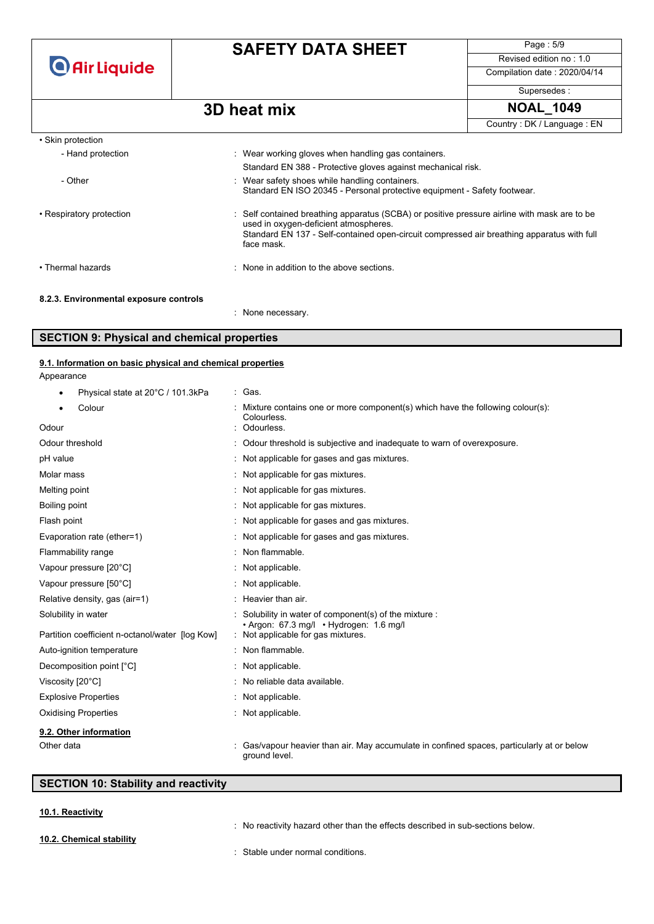**O** Air Liquide

## **SAFETY DATA SHEET**

Page : 5/9 Revised edition no : 1.0 Compilation date : 2020/04/14

Supersedes :

### **3D** heat mix NOAL 1049

: None necessary.

|                                        |                                                                                                                                                                                                                                                   | Country: DK / Language: EN |
|----------------------------------------|---------------------------------------------------------------------------------------------------------------------------------------------------------------------------------------------------------------------------------------------------|----------------------------|
| • Skin protection                      |                                                                                                                                                                                                                                                   |                            |
| - Hand protection                      | : Wear working gloves when handling gas containers.                                                                                                                                                                                               |                            |
|                                        | Standard EN 388 - Protective gloves against mechanical risk.                                                                                                                                                                                      |                            |
| - Other                                | : Wear safety shoes while handling containers.<br>Standard EN ISO 20345 - Personal protective equipment - Safety footwear.                                                                                                                        |                            |
| • Respiratory protection               | : Self contained breathing apparatus (SCBA) or positive pressure airline with mask are to be<br>used in oxygen-deficient atmospheres.<br>Standard EN 137 - Self-contained open-circuit compressed air breathing apparatus with full<br>face mask. |                            |
| • Thermal hazards                      | : None in addition to the above sections.                                                                                                                                                                                                         |                            |
| 8.2.3. Environmental exposure controls |                                                                                                                                                                                                                                                   |                            |

# **SECTION 9: Physical and chemical properties**

## **9.1. Information on basic physical and chemical properties**

Appearance

| Physical state at 20°C / 101.3kPa<br>٠          | : Gas.                                                                                                    |
|-------------------------------------------------|-----------------------------------------------------------------------------------------------------------|
| Colour                                          | Mixture contains one or more component(s) which have the following colour(s):<br>Colourless.              |
| Odour                                           | Odourless.                                                                                                |
| Odour threshold                                 | Odour threshold is subjective and inadequate to warn of overexposure.                                     |
| pH value                                        | Not applicable for gases and gas mixtures.                                                                |
| Molar mass                                      | Not applicable for gas mixtures.                                                                          |
| Melting point                                   | Not applicable for gas mixtures.                                                                          |
| Boiling point                                   | Not applicable for gas mixtures.                                                                          |
| Flash point                                     | Not applicable for gases and gas mixtures.                                                                |
| Evaporation rate (ether=1)                      | Not applicable for gases and gas mixtures.                                                                |
| Flammability range                              | Non flammable.                                                                                            |
| Vapour pressure [20°C]                          | Not applicable.                                                                                           |
| Vapour pressure [50°C]                          | : Not applicable.                                                                                         |
| Relative density, gas (air=1)                   | Heavier than air.                                                                                         |
| Solubility in water                             | Solubility in water of component(s) of the mixture :<br>· Argon: 67.3 mg/l · Hydrogen: 1.6 mg/l           |
| Partition coefficient n-octanol/water [log Kow] | : Not applicable for gas mixtures.                                                                        |
| Auto-ignition temperature                       | : Non flammable.                                                                                          |
| Decomposition point [°C]                        | Not applicable.                                                                                           |
| Viscosity [20°C]                                | No reliable data available.                                                                               |
| <b>Explosive Properties</b>                     | Not applicable.                                                                                           |
| <b>Oxidising Properties</b>                     | Not applicable.                                                                                           |
| 9.2. Other information                          |                                                                                                           |
| Other data                                      | Gas/vapour heavier than air. May accumulate in confined spaces, particularly at or below<br>ground level. |

### **SECTION 10: Stability and reactivity**

### **10.1. Reactivity**

**10.2. Chemical stability**

: No reactivity hazard other than the effects described in sub-sections below.

: Stable under normal conditions.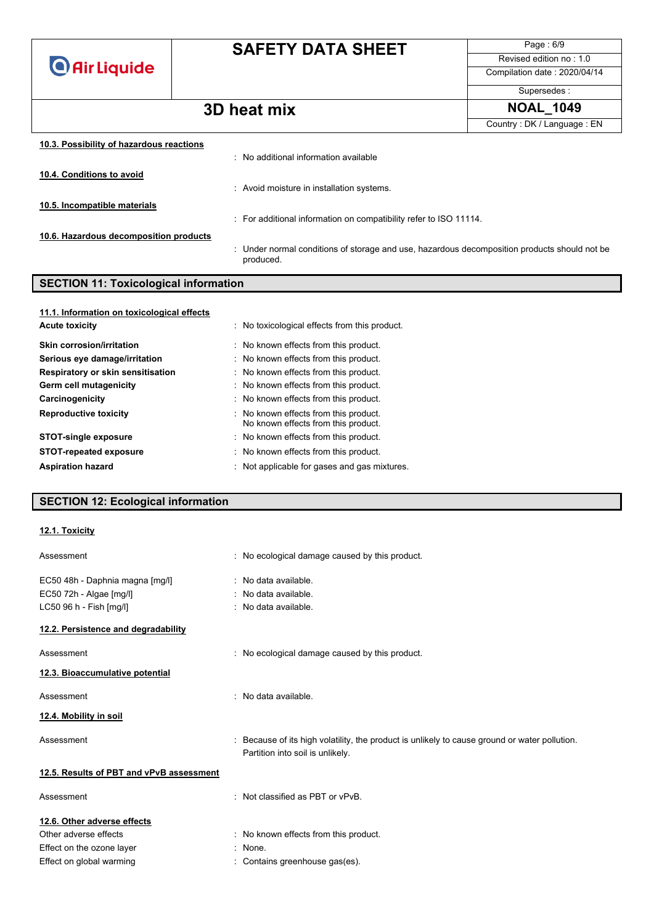**O** Air Liquide

## **SAFETY DATA SHEET**

Page : 6/9 Revised edition no : 1.0

Compilation date : 2020/04/14

Supersedes :

Country : DK / Language : EN

## **3D heat mix NOAL\_1049**

| 10.3. Possibility of hazardous reactions |                                                                                                           |
|------------------------------------------|-----------------------------------------------------------------------------------------------------------|
|                                          | : No additional information available                                                                     |
| 10.4. Conditions to avoid                |                                                                                                           |
|                                          | : Avoid moisture in installation systems.                                                                 |
| 10.5. Incompatible materials             |                                                                                                           |
|                                          | : For additional information on compatibility refer to ISO 11114.                                         |
| 10.6. Hazardous decomposition products   |                                                                                                           |
|                                          | : Under normal conditions of storage and use, hazardous decomposition products should not be<br>produced. |

### **SECTION 11: Toxicological information**

| 11.1. Information on toxicological effects |                                                                              |
|--------------------------------------------|------------------------------------------------------------------------------|
| <b>Acute toxicity</b>                      | : No toxicological effects from this product.                                |
| <b>Skin corrosion/irritation</b>           | : No known effects from this product.                                        |
| Serious eye damage/irritation              | : No known effects from this product.                                        |
| Respiratory or skin sensitisation          | : No known effects from this product.                                        |
| Germ cell mutagenicity                     | : No known effects from this product.                                        |
| Carcinogenicity                            | : No known effects from this product.                                        |
| <b>Reproductive toxicity</b>               | : No known effects from this product.<br>No known effects from this product. |
| <b>STOT-single exposure</b>                | : No known effects from this product.                                        |
| <b>STOT-repeated exposure</b>              | : No known effects from this product.                                        |
| <b>Aspiration hazard</b>                   | : Not applicable for gases and gas mixtures.                                 |

### **SECTION 12: Ecological information**

#### **12.1. Toxicity**

| Assessment                               | : No ecological damage caused by this product.                                                                                    |
|------------------------------------------|-----------------------------------------------------------------------------------------------------------------------------------|
| EC50 48h - Daphnia magna [mg/l]          | : No data available.                                                                                                              |
| EC50 72h - Algae [mg/l]                  | : No data available.                                                                                                              |
| LC50 96 h - Fish [mg/l]                  | : No data available.                                                                                                              |
| 12.2. Persistence and degradability      |                                                                                                                                   |
| Assessment                               | : No ecological damage caused by this product.                                                                                    |
| 12.3. Bioaccumulative potential          |                                                                                                                                   |
| Assessment                               | : No data available.                                                                                                              |
| 12.4. Mobility in soil                   |                                                                                                                                   |
| Assessment                               | : Because of its high volatility, the product is unlikely to cause ground or water pollution.<br>Partition into soil is unlikely. |
| 12.5. Results of PBT and vPvB assessment |                                                                                                                                   |
| Assessment                               | : Not classified as PBT or vPvB.                                                                                                  |
| 12.6. Other adverse effects              |                                                                                                                                   |
| Other adverse effects                    | : No known effects from this product.                                                                                             |
| Effect on the ozone layer                | : None.                                                                                                                           |
| Effect on global warming                 | : Contains greenhouse gas(es).                                                                                                    |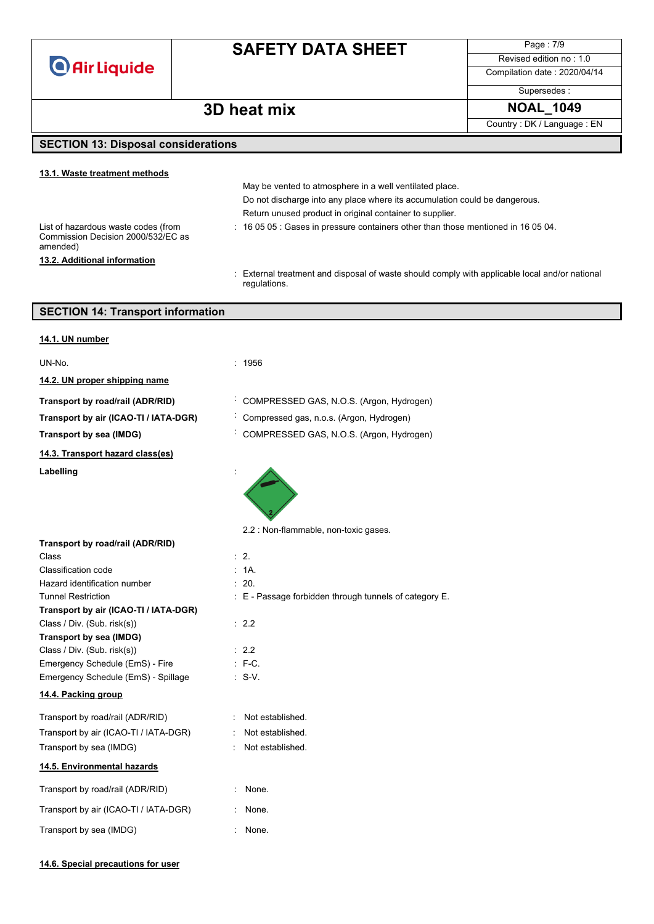**O** Air Liquide

## **SAFETY DATA SHEET**

May be vented to atmosphere in a well ventilated place.

Return unused product in original container to supplier.

Page : 7/9 Revised edition no : 1.0

Compilation date : 2020/04/14

Supersedes :

### **3D heat mix NOAL\_1049**

Country : DK / Language : EN

### **SECTION 13: Disposal considerations**

### **13.1. Waste treatment methods**

List of hazardous waste codes (from Commission Decision 2000/532/EC as amended) **13.2. Additional information**

: 16 05 05 : Gases in pressure containers other than those mentioned in 16 05 04.

Do not discharge into any place where its accumulation could be dangerous.

: External treatment and disposal of waste should comply with applicable local and/or national regulations.

### **SECTION 14: Transport information**

| 14.1. UN number                                                      |                                                            |
|----------------------------------------------------------------------|------------------------------------------------------------|
| UN-No.                                                               | : 1956                                                     |
| 14.2. UN proper shipping name                                        |                                                            |
| Transport by road/rail (ADR/RID)                                     | COMPRESSED GAS, N.O.S. (Argon, Hydrogen)                   |
| Transport by air (ICAO-TI / IATA-DGR)                                | Compressed gas, n.o.s. (Argon, Hydrogen)                   |
| Transport by sea (IMDG)                                              | COMPRESSED GAS, N.O.S. (Argon, Hydrogen)                   |
| 14.3. Transport hazard class(es)                                     |                                                            |
| Labelling                                                            |                                                            |
|                                                                      | 2.2 : Non-flammable, non-toxic gases.                      |
| Transport by road/rail (ADR/RID)                                     |                                                            |
| Class                                                                | $\therefore$ 2.                                            |
| Classification code                                                  | : 1A.                                                      |
| Hazard identification number                                         | : 20.                                                      |
| <b>Tunnel Restriction</b>                                            | $\pm$ E - Passage forbidden through tunnels of category E. |
| Transport by air (ICAO-TI / IATA-DGR)<br>Class / Div. (Sub. risk(s)) | : 2.2                                                      |
| Transport by sea (IMDG)                                              |                                                            |
| Class / Div. (Sub. risk(s))                                          | : 2.2                                                      |
| Emergency Schedule (EmS) - Fire                                      | $: F-C.$                                                   |
| Emergency Schedule (EmS) - Spillage                                  | $: S-V.$                                                   |
| 14.4. Packing group                                                  |                                                            |
|                                                                      |                                                            |
| Transport by road/rail (ADR/RID)                                     | : Not established.                                         |
| Transport by air (ICAO-TI / IATA-DGR)                                | Not established.                                           |
| Transport by sea (IMDG)                                              | Not established.                                           |
| 14.5. Environmental hazards                                          |                                                            |
| Transport by road/rail (ADR/RID)                                     | : None.                                                    |
| Transport by air (ICAO-TI / IATA-DGR)                                | None.                                                      |
| Transport by sea (IMDG)                                              | None.                                                      |
|                                                                      |                                                            |

#### **14.6. Special precautions for user**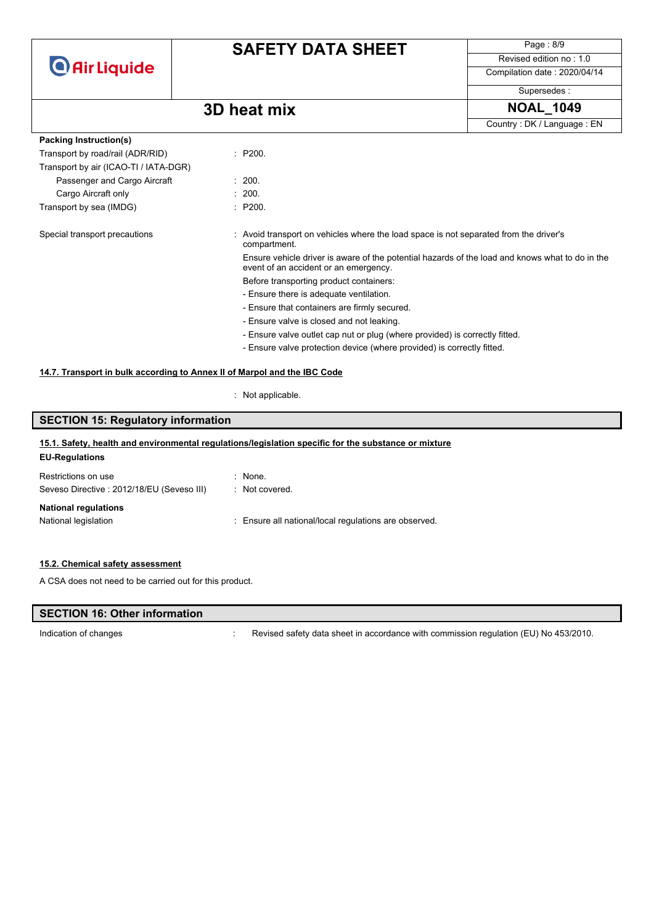

Page : 8/9 Revised edition no : 1.0

Compilation date : 2020/04/14 Supersedes :

### **3D** heat mix **NOAL\_1049**

Country : DK / Language : EN

| Packing Instruction(s)                |         |                                                                                                                                          |  |
|---------------------------------------|---------|------------------------------------------------------------------------------------------------------------------------------------------|--|
| Transport by road/rail (ADR/RID)      | : P200. |                                                                                                                                          |  |
| Transport by air (ICAO-TI / IATA-DGR) |         |                                                                                                                                          |  |
| Passenger and Cargo Aircraft          |         | : 200.                                                                                                                                   |  |
| Cargo Aircraft only                   |         | : 200.                                                                                                                                   |  |
| Transport by sea (IMDG)               |         | : P200.                                                                                                                                  |  |
| Special transport precautions         |         | : Avoid transport on vehicles where the load space is not separated from the driver's<br>compartment.                                    |  |
|                                       |         | Ensure vehicle driver is aware of the potential hazards of the load and knows what to do in the<br>event of an accident or an emergency. |  |
|                                       |         | Before transporting product containers:                                                                                                  |  |
|                                       |         | - Ensure there is adequate ventilation.                                                                                                  |  |
|                                       |         | - Ensure that containers are firmly secured.                                                                                             |  |
|                                       |         | - Ensure valve is closed and not leaking.                                                                                                |  |
|                                       |         | - Ensure valve outlet cap nut or plug (where provided) is correctly fitted.                                                              |  |
|                                       |         | - Ensure valve protection device (where provided) is correctly fitted.                                                                   |  |

#### **14.7. Transport in bulk according to Annex II of Marpol and the IBC Code**

: Not applicable.

### **SECTION 15: Regulatory information EU-Regulations** Restrictions on use : None. Seveso Directive : 2012/18/EU (Seveso III) : Not covered. **National regulations** National legislation : Ensure all national/local regulations are observed. **15.1. Safety, health and environmental regulations/legislation specific for the substance or mixture**

#### **15.2. Chemical safety assessment**

A CSA does not need to be carried out for this product.

### **SECTION 16: Other information**

Indication of changes **indication** of changes **in accordance with commission regulation (EU) No 453/2010.**